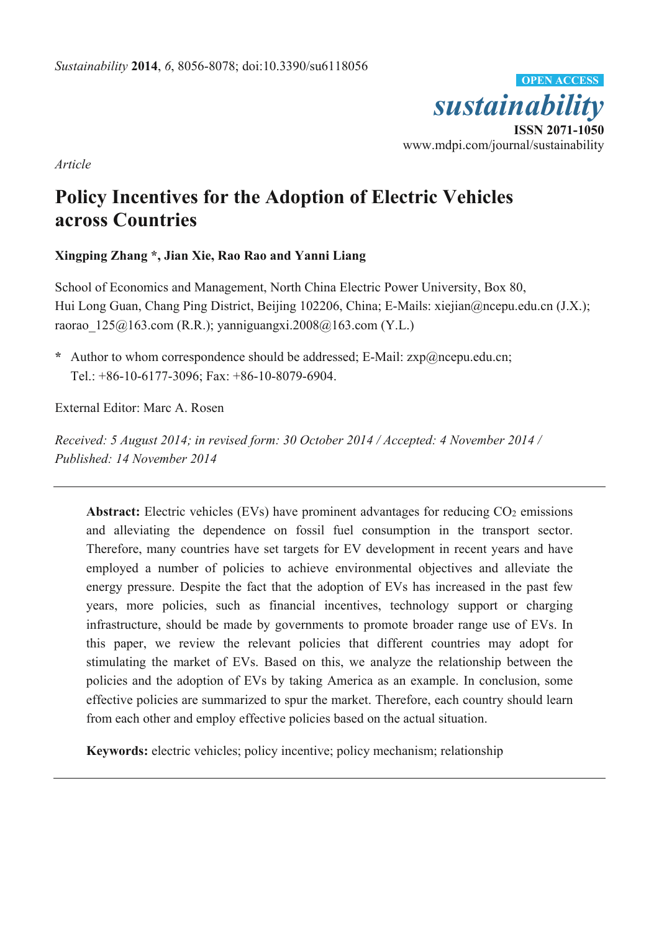

*Article* 

# **Policy Incentives for the Adoption of Electric Vehicles across Countries**

# **Xingping Zhang \*, Jian Xie, Rao Rao and Yanni Liang**

School of Economics and Management, North China Electric Power University, Box 80, Hui Long Guan, Chang Ping District, Beijing 102206, China; E-Mails: xiejian@ncepu.edu.cn (J.X.); raorao  $125@163.com$  (R.R.); yanniguangxi.2008 $@163.com$  (Y.L.)

**\*** Author to whom correspondence should be addressed; E-Mail: zxp@ncepu.edu.cn; Tel.: +86-10-6177-3096; Fax: +86-10-8079-6904.

External Editor: Marc A. Rosen

*Received: 5 August 2014; in revised form: 30 October 2014 / Accepted: 4 November 2014 / Published: 14 November 2014* 

Abstract: Electric vehicles (EVs) have prominent advantages for reducing  $CO<sub>2</sub>$  emissions and alleviating the dependence on fossil fuel consumption in the transport sector. Therefore, many countries have set targets for EV development in recent years and have employed a number of policies to achieve environmental objectives and alleviate the energy pressure. Despite the fact that the adoption of EVs has increased in the past few years, more policies, such as financial incentives, technology support or charging infrastructure, should be made by governments to promote broader range use of EVs. In this paper, we review the relevant policies that different countries may adopt for stimulating the market of EVs. Based on this, we analyze the relationship between the policies and the adoption of EVs by taking America as an example. In conclusion, some effective policies are summarized to spur the market. Therefore, each country should learn from each other and employ effective policies based on the actual situation.

**Keywords:** electric vehicles; policy incentive; policy mechanism; relationship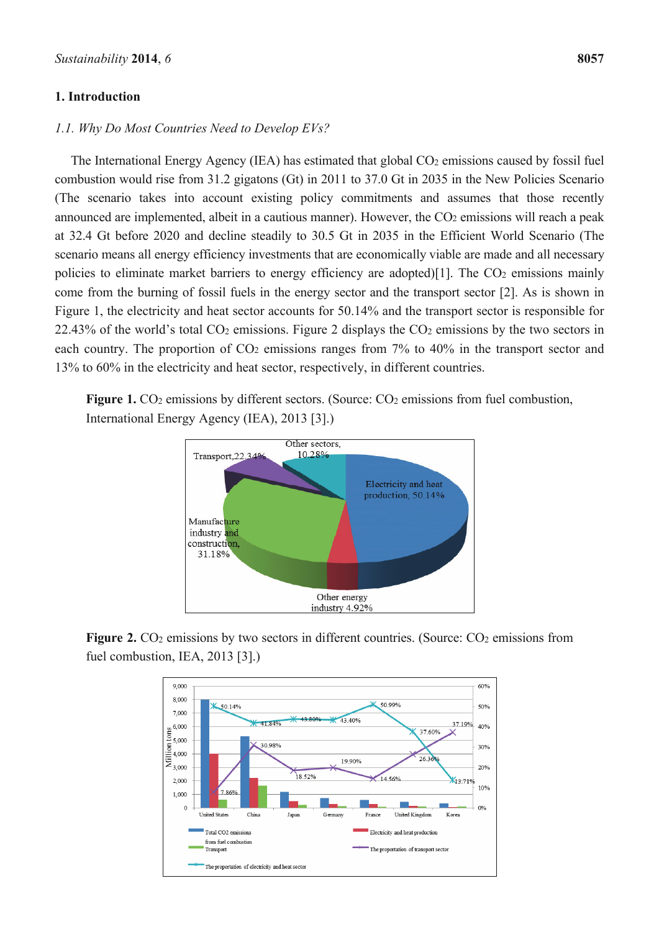## **1. Introduction**

# *1.1. Why Do Most Countries Need to Develop EVs?*

The International Energy Agency (IEA) has estimated that global  $CO<sub>2</sub>$  emissions caused by fossil fuel combustion would rise from 31.2 gigatons (Gt) in 2011 to 37.0 Gt in 2035 in the New Policies Scenario (The scenario takes into account existing policy commitments and assumes that those recently announced are implemented, albeit in a cautious manner). However, the CO2 emissions will reach a peak at 32.4 Gt before 2020 and decline steadily to 30.5 Gt in 2035 in the Efficient World Scenario (The scenario means all energy efficiency investments that are economically viable are made and all necessary policies to eliminate market barriers to energy efficiency are adopted)[1]. The  $CO<sub>2</sub>$  emissions mainly come from the burning of fossil fuels in the energy sector and the transport sector [2]. As is shown in Figure 1, the electricity and heat sector accounts for 50.14% and the transport sector is responsible for 22.43% of the world's total CO2 emissions. Figure 2 displays the CO2 emissions by the two sectors in each country. The proportion of  $CO<sub>2</sub>$  emissions ranges from 7% to 40% in the transport sector and 13% to 60% in the electricity and heat sector, respectively, in different countries.

Figure 1. CO<sub>2</sub> emissions by different sectors. (Source: CO<sub>2</sub> emissions from fuel combustion, International Energy Agency (IEA), 2013 [3].)



**Figure 2.** CO<sub>2</sub> emissions by two sectors in different countries. (Source: CO<sub>2</sub> emissions from fuel combustion, IEA, 2013 [3].)

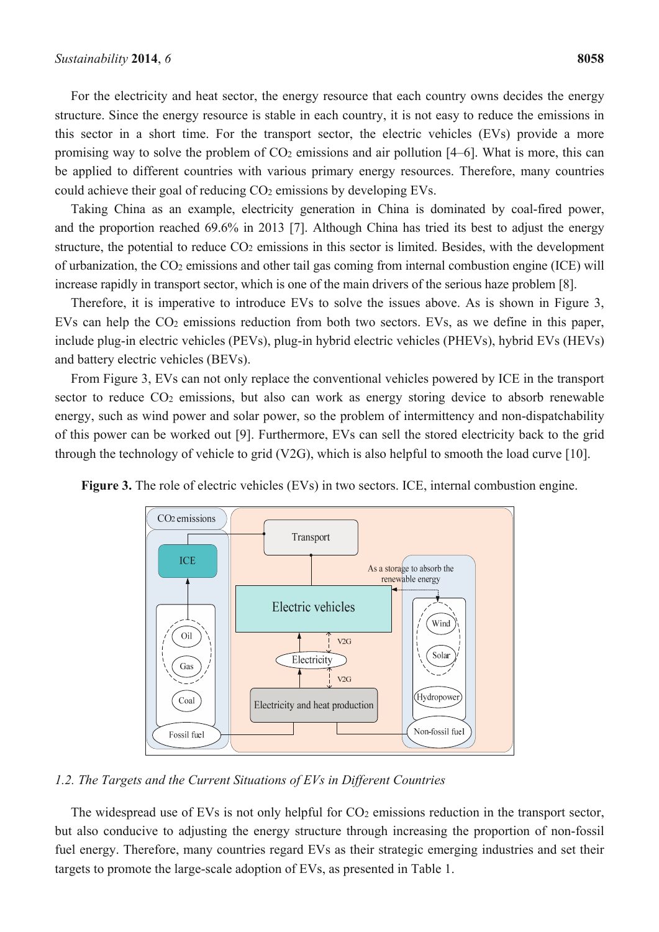For the electricity and heat sector, the energy resource that each country owns decides the energy structure. Since the energy resource is stable in each country, it is not easy to reduce the emissions in this sector in a short time. For the transport sector, the electric vehicles (EVs) provide a more promising way to solve the problem of  $CO<sub>2</sub>$  emissions and air pollution [4–6]. What is more, this can be applied to different countries with various primary energy resources. Therefore, many countries could achieve their goal of reducing CO2 emissions by developing EVs.

Taking China as an example, electricity generation in China is dominated by coal-fired power, and the proportion reached 69.6% in 2013 [7]. Although China has tried its best to adjust the energy structure, the potential to reduce  $CO<sub>2</sub>$  emissions in this sector is limited. Besides, with the development of urbanization, the CO2 emissions and other tail gas coming from internal combustion engine (ICE) will increase rapidly in transport sector, which is one of the main drivers of the serious haze problem [8].

Therefore, it is imperative to introduce EVs to solve the issues above. As is shown in Figure 3, EVs can help the  $CO<sub>2</sub>$  emissions reduction from both two sectors. EVs, as we define in this paper, include plug-in electric vehicles (PEVs), plug-in hybrid electric vehicles (PHEVs), hybrid EVs (HEVs) and battery electric vehicles (BEVs).

From Figure 3, EVs can not only replace the conventional vehicles powered by ICE in the transport sector to reduce  $CO<sub>2</sub>$  emissions, but also can work as energy storing device to absorb renewable energy, such as wind power and solar power, so the problem of intermittency and non-dispatchability of this power can be worked out [9]. Furthermore, EVs can sell the stored electricity back to the grid through the technology of vehicle to grid (V2G), which is also helpful to smooth the load curve [10].



**Figure 3.** The role of electric vehicles (EVs) in two sectors. ICE, internal combustion engine.

## *1.2. The Targets and the Current Situations of EVs in Different Countries*

The widespread use of EVs is not only helpful for CO<sub>2</sub> emissions reduction in the transport sector, but also conducive to adjusting the energy structure through increasing the proportion of non-fossil fuel energy. Therefore, many countries regard EVs as their strategic emerging industries and set their targets to promote the large-scale adoption of EVs, as presented in Table 1.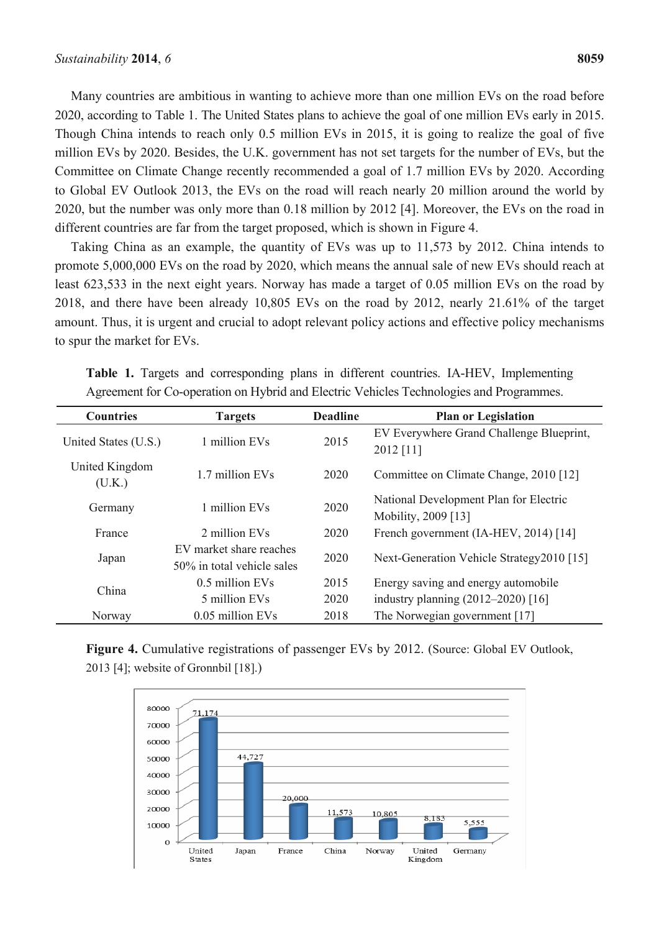Many countries are ambitious in wanting to achieve more than one million EVs on the road before 2020, according to Table 1. The United States plans to achieve the goal of one million EVs early in 2015. Though China intends to reach only 0.5 million EVs in 2015, it is going to realize the goal of five million EVs by 2020. Besides, the U.K. government has not set targets for the number of EVs, but the Committee on Climate Change recently recommended a goal of 1.7 million EVs by 2020. According to Global EV Outlook 2013, the EVs on the road will reach nearly 20 million around the world by 2020, but the number was only more than 0.18 million by 2012 [4]. Moreover, the EVs on the road in different countries are far from the target proposed, which is shown in Figure 4.

Taking China as an example, the quantity of EVs was up to 11,573 by 2012. China intends to promote 5,000,000 EVs on the road by 2020, which means the annual sale of new EVs should reach at least 623,533 in the next eight years. Norway has made a target of 0.05 million EVs on the road by 2018, and there have been already 10,805 EVs on the road by 2012, nearly 21.61% of the target amount. Thus, it is urgent and crucial to adopt relevant policy actions and effective policy mechanisms to spur the market for EVs.

| <b>Countries</b><br><b>Targets</b> |                                                       | <b>Deadline</b> | <b>Plan or Legislation</b>                                    |
|------------------------------------|-------------------------------------------------------|-----------------|---------------------------------------------------------------|
| United States (U.S.)               | 1 million EVs                                         | 2015            | EV Everywhere Grand Challenge Blueprint,<br>2012 [11]         |
| United Kingdom<br>(U.K.)           | 1.7 million EVs                                       | 2020            | Committee on Climate Change, 2010 [12]                        |
| Germany                            | 1 million EVs                                         | 2020            | National Development Plan for Electric<br>Mobility, 2009 [13] |
| France                             | 2 million EVs                                         | 2020            | French government (IA-HEV, 2014) [14]                         |
| Japan                              | EV market share reaches<br>50% in total vehicle sales | 2020            | Next-Generation Vehicle Strategy 2010 [15]                    |
| China                              | 0.5 million EVs                                       | 2015            | Energy saving and energy automobile                           |
|                                    | 5 million EVs                                         | 2020            | industry planning (2012-2020) [16]                            |
| Norway                             | 0.05 million EVs                                      | 2018            | The Norwegian government [17]                                 |

**Table 1.** Targets and corresponding plans in different countries. IA-HEV, Implementing Agreement for Co-operation on Hybrid and Electric Vehicles Technologies and Programmes.

Figure 4. Cumulative registrations of passenger EVs by 2012. (Source: Global EV Outlook, 2013 [4]; website of Gronnbil [18].)

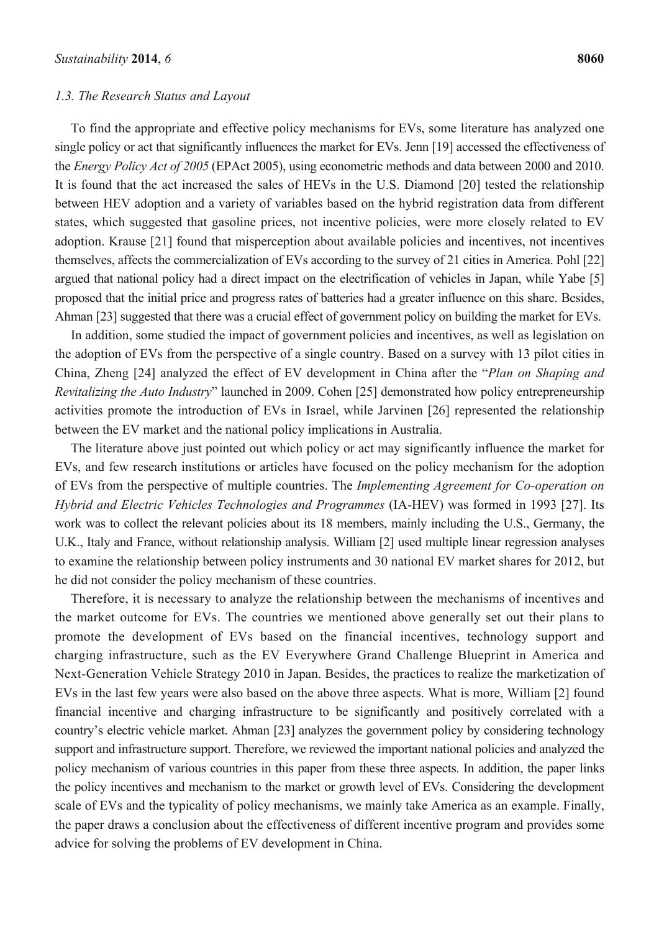#### *1.3. The Research Status and Layout*

To find the appropriate and effective policy mechanisms for EVs, some literature has analyzed one single policy or act that significantly influences the market for EVs. Jenn [19] accessed the effectiveness of the *Energy Policy Act of 2005* (EPAct 2005), using econometric methods and data between 2000 and 2010. It is found that the act increased the sales of HEVs in the U.S. Diamond [20] tested the relationship between HEV adoption and a variety of variables based on the hybrid registration data from different states, which suggested that gasoline prices, not incentive policies, were more closely related to EV adoption. Krause [21] found that misperception about available policies and incentives, not incentives themselves, affects the commercialization of EVs according to the survey of 21 cities in America. Pohl [22] argued that national policy had a direct impact on the electrification of vehicles in Japan, while Yabe [5] proposed that the initial price and progress rates of batteries had a greater influence on this share. Besides, Ahman [23] suggested that there was a crucial effect of government policy on building the market for EVs.

In addition, some studied the impact of government policies and incentives, as well as legislation on the adoption of EVs from the perspective of a single country. Based on a survey with 13 pilot cities in China, Zheng [24] analyzed the effect of EV development in China after the "*Plan on Shaping and Revitalizing the Auto Industry*" launched in 2009. Cohen [25] demonstrated how policy entrepreneurship activities promote the introduction of EVs in Israel, while Jarvinen [26] represented the relationship between the EV market and the national policy implications in Australia.

The literature above just pointed out which policy or act may significantly influence the market for EVs, and few research institutions or articles have focused on the policy mechanism for the adoption of EVs from the perspective of multiple countries. The *Implementing Agreement for Co-operation on Hybrid and Electric Vehicles Technologies and Programmes* (IA-HEV) was formed in 1993 [27]. Its work was to collect the relevant policies about its 18 members, mainly including the U.S., Germany, the U.K., Italy and France, without relationship analysis. William [2] used multiple linear regression analyses to examine the relationship between policy instruments and 30 national EV market shares for 2012, but he did not consider the policy mechanism of these countries.

Therefore, it is necessary to analyze the relationship between the mechanisms of incentives and the market outcome for EVs. The countries we mentioned above generally set out their plans to promote the development of EVs based on the financial incentives, technology support and charging infrastructure, such as the EV Everywhere Grand Challenge Blueprint in America and Next-Generation Vehicle Strategy 2010 in Japan. Besides, the practices to realize the marketization of EVs in the last few years were also based on the above three aspects. What is more, William [2] found financial incentive and charging infrastructure to be significantly and positively correlated with a country's electric vehicle market. Ahman [23] analyzes the government policy by considering technology support and infrastructure support. Therefore, we reviewed the important national policies and analyzed the policy mechanism of various countries in this paper from these three aspects. In addition, the paper links the policy incentives and mechanism to the market or growth level of EVs. Considering the development scale of EVs and the typicality of policy mechanisms, we mainly take America as an example. Finally, the paper draws a conclusion about the effectiveness of different incentive program and provides some advice for solving the problems of EV development in China.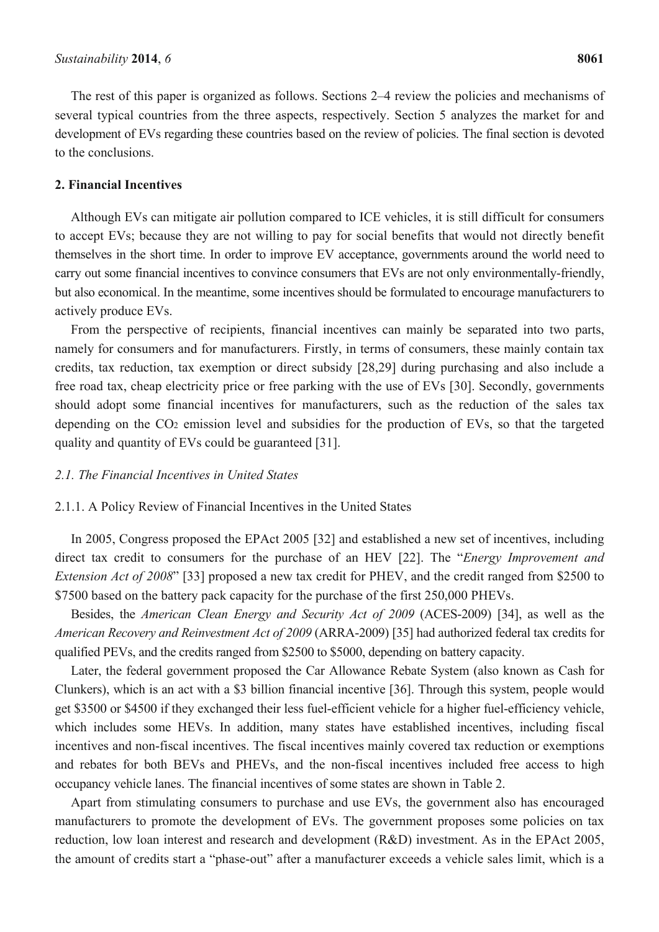The rest of this paper is organized as follows. Sections 2–4 review the policies and mechanisms of several typical countries from the three aspects, respectively. Section 5 analyzes the market for and development of EVs regarding these countries based on the review of policies. The final section is devoted to the conclusions.

### **2. Financial Incentives**

Although EVs can mitigate air pollution compared to ICE vehicles, it is still difficult for consumers to accept EVs; because they are not willing to pay for social benefits that would not directly benefit themselves in the short time. In order to improve EV acceptance, governments around the world need to carry out some financial incentives to convince consumers that EVs are not only environmentally-friendly, but also economical. In the meantime, some incentives should be formulated to encourage manufacturers to actively produce EVs.

From the perspective of recipients, financial incentives can mainly be separated into two parts, namely for consumers and for manufacturers. Firstly, in terms of consumers, these mainly contain tax credits, tax reduction, tax exemption or direct subsidy [28,29] during purchasing and also include a free road tax, cheap electricity price or free parking with the use of EVs [30]. Secondly, governments should adopt some financial incentives for manufacturers, such as the reduction of the sales tax depending on the CO2 emission level and subsidies for the production of EVs, so that the targeted quality and quantity of EVs could be guaranteed [31].

## *2.1. The Financial Incentives in United States*

#### 2.1.1. A Policy Review of Financial Incentives in the United States

In 2005, Congress proposed the EPAct 2005 [32] and established a new set of incentives, including direct tax credit to consumers for the purchase of an HEV [22]. The "*Energy Improvement and Extension Act of 2008*" [33] proposed a new tax credit for PHEV, and the credit ranged from \$2500 to \$7500 based on the battery pack capacity for the purchase of the first 250,000 PHEVs.

Besides, the *American Clean Energy and Security Act of 2009* (ACES-2009) [34], as well as the *American Recovery and Reinvestment Act of 2009* (ARRA-2009) [35] had authorized federal tax credits for qualified PEVs, and the credits ranged from \$2500 to \$5000, depending on battery capacity.

Later, the federal government proposed the Car Allowance Rebate System (also known as Cash for Clunkers), which is an act with a \$3 billion financial incentive [36]. Through this system, people would get \$3500 or \$4500 if they exchanged their less fuel-efficient vehicle for a higher fuel-efficiency vehicle, which includes some HEVs. In addition, many states have established incentives, including fiscal incentives and non-fiscal incentives. The fiscal incentives mainly covered tax reduction or exemptions and rebates for both BEVs and PHEVs, and the non-fiscal incentives included free access to high occupancy vehicle lanes. The financial incentives of some states are shown in Table 2.

Apart from stimulating consumers to purchase and use EVs, the government also has encouraged manufacturers to promote the development of EVs. The government proposes some policies on tax reduction, low loan interest and research and development (R&D) investment. As in the EPAct 2005, the amount of credits start a "phase-out" after a manufacturer exceeds a vehicle sales limit, which is a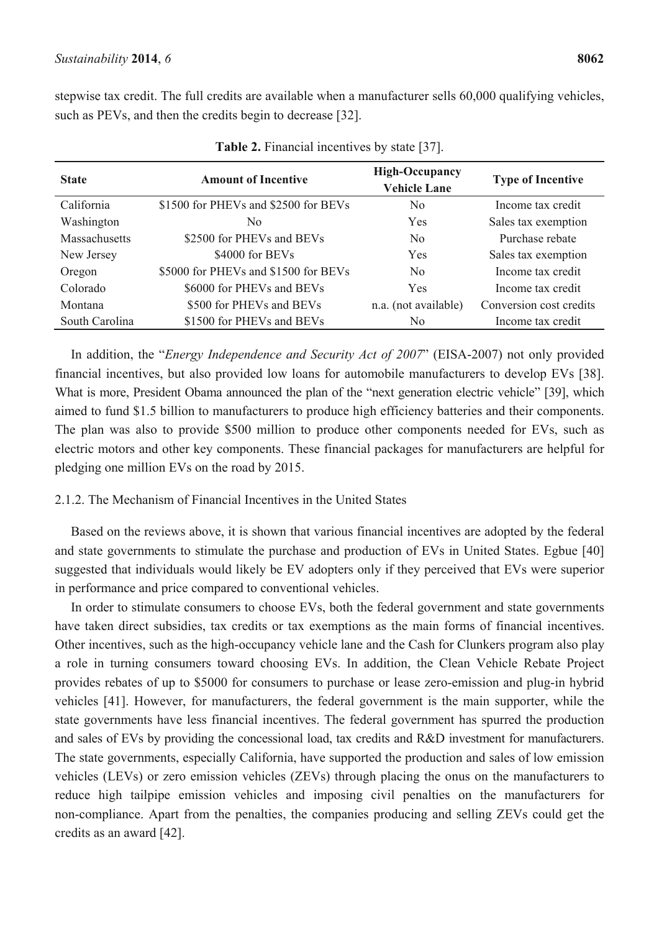stepwise tax credit. The full credits are available when a manufacturer sells 60,000 qualifying vehicles, such as PEVs, and then the credits begin to decrease [32].

| <b>State</b>   | <b>Amount of Incentive</b>           | <b>High-Occupancy</b><br><b>Vehicle Lane</b> | <b>Type of Incentive</b> |  |
|----------------|--------------------------------------|----------------------------------------------|--------------------------|--|
| California     | \$1500 for PHEVs and \$2500 for BEVs | N <sub>0</sub>                               | Income tax credit        |  |
| Washington     | No.                                  | Yes                                          | Sales tax exemption      |  |
| Massachusetts  | \$2500 for PHEVs and BEVs            | N <sub>0</sub>                               | Purchase rebate          |  |
| New Jersey     | \$4000 for BEVs                      | Yes                                          | Sales tax exemption      |  |
| Oregon         | \$5000 for PHEVs and \$1500 for BEVs | N <sub>0</sub>                               | Income tax credit        |  |
| Colorado       | \$6000 for PHEVs and BEVs            | Yes                                          | Income tax credit        |  |
| Montana        | \$500 for PHEVs and BEVs             | n.a. (not available)                         | Conversion cost credits  |  |
| South Carolina | \$1500 for PHEVs and BEVs            | N <sub>0</sub>                               | Income tax credit        |  |

**Table 2.** Financial incentives by state [37].

In addition, the "*Energy Independence and Security Act of 2007*" (EISA-2007) not only provided financial incentives, but also provided low loans for automobile manufacturers to develop EVs [38]. What is more, President Obama announced the plan of the "next generation electric vehicle" [39], which aimed to fund \$1.5 billion to manufacturers to produce high efficiency batteries and their components. The plan was also to provide \$500 million to produce other components needed for EVs, such as electric motors and other key components. These financial packages for manufacturers are helpful for pledging one million EVs on the road by 2015.

# 2.1.2. The Mechanism of Financial Incentives in the United States

Based on the reviews above, it is shown that various financial incentives are adopted by the federal and state governments to stimulate the purchase and production of EVs in United States. Egbue [40] suggested that individuals would likely be EV adopters only if they perceived that EVs were superior in performance and price compared to conventional vehicles.

In order to stimulate consumers to choose EVs, both the federal government and state governments have taken direct subsidies, tax credits or tax exemptions as the main forms of financial incentives. Other incentives, such as the high-occupancy vehicle lane and the Cash for Clunkers program also play a role in turning consumers toward choosing EVs. In addition, the Clean Vehicle Rebate Project provides rebates of up to \$5000 for consumers to purchase or lease zero-emission and plug-in hybrid vehicles [41]. However, for manufacturers, the federal government is the main supporter, while the state governments have less financial incentives. The federal government has spurred the production and sales of EVs by providing the concessional load, tax credits and R&D investment for manufacturers. The state governments, especially California, have supported the production and sales of low emission vehicles (LEVs) or zero emission vehicles (ZEVs) through placing the onus on the manufacturers to reduce high tailpipe emission vehicles and imposing civil penalties on the manufacturers for non-compliance. Apart from the penalties, the companies producing and selling ZEVs could get the credits as an award [42].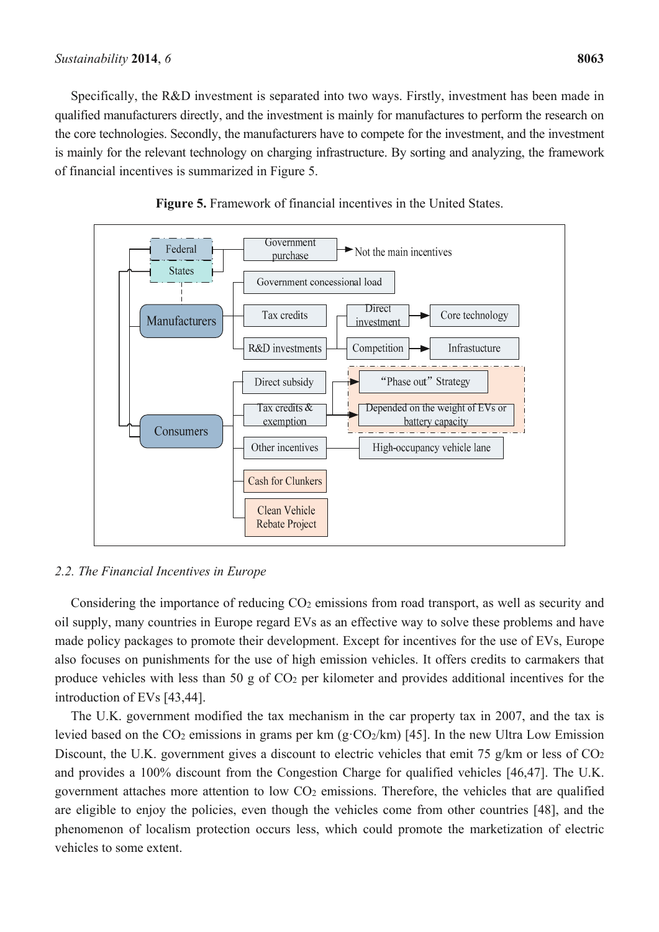#### *Sustainability* **2014**, *6* **8063**

Specifically, the R&D investment is separated into two ways. Firstly, investment has been made in qualified manufacturers directly, and the investment is mainly for manufactures to perform the research on the core technologies. Secondly, the manufacturers have to compete for the investment, and the investment is mainly for the relevant technology on charging infrastructure. By sorting and analyzing, the framework of financial incentives is summarized in Figure 5.





# *2.2. The Financial Incentives in Europe*

Considering the importance of reducing CO<sub>2</sub> emissions from road transport, as well as security and oil supply, many countries in Europe regard EVs as an effective way to solve these problems and have made policy packages to promote their development. Except for incentives for the use of EVs, Europe also focuses on punishments for the use of high emission vehicles. It offers credits to carmakers that produce vehicles with less than 50 g of  $CO<sub>2</sub>$  per kilometer and provides additional incentives for the introduction of EVs [43,44].

The U.K. government modified the tax mechanism in the car property tax in 2007, and the tax is levied based on the  $CO_2$  emissions in grams per km (g· $CO_2/km$ ) [45]. In the new Ultra Low Emission Discount, the U.K. government gives a discount to electric vehicles that emit 75 g/km or less of CO<sub>2</sub> and provides a 100% discount from the Congestion Charge for qualified vehicles [46,47]. The U.K. government attaches more attention to low CO2 emissions. Therefore, the vehicles that are qualified are eligible to enjoy the policies, even though the vehicles come from other countries [48], and the phenomenon of localism protection occurs less, which could promote the marketization of electric vehicles to some extent.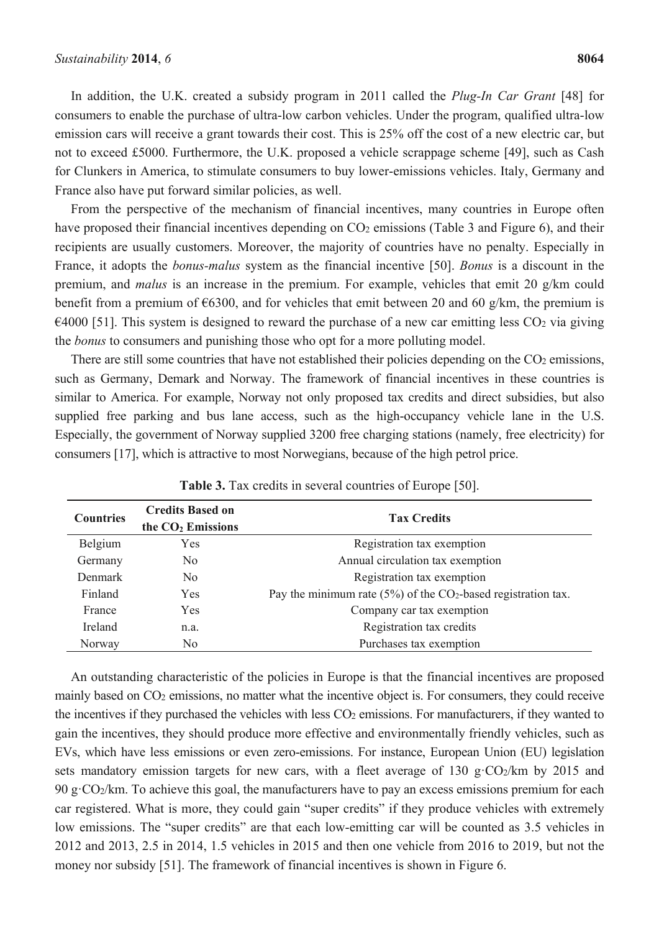In addition, the U.K. created a subsidy program in 2011 called the *Plug-In Car Grant* [48] for consumers to enable the purchase of ultra-low carbon vehicles. Under the program, qualified ultra-low emission cars will receive a grant towards their cost. This is 25% off the cost of a new electric car, but not to exceed £5000. Furthermore, the U.K. proposed a vehicle scrappage scheme [49], such as Cash for Clunkers in America, to stimulate consumers to buy lower-emissions vehicles. Italy, Germany and France also have put forward similar policies, as well.

From the perspective of the mechanism of financial incentives, many countries in Europe often have proposed their financial incentives depending on CO<sub>2</sub> emissions (Table 3 and Figure 6), and their recipients are usually customers. Moreover, the majority of countries have no penalty. Especially in France, it adopts the *bonus-malus* system as the financial incentive [50]. *Bonus* is a discount in the premium, and *malus* is an increase in the premium. For example, vehicles that emit 20 g/km could benefit from a premium of  $\epsilon$ 6300, and for vehicles that emit between 20 and 60 g/km, the premium is  $\epsilon$ 4000 [51]. This system is designed to reward the purchase of a new car emitting less CO<sub>2</sub> via giving the *bonus* to consumers and punishing those who opt for a more polluting model.

There are still some countries that have not established their policies depending on the  $CO<sub>2</sub>$  emissions, such as Germany, Demark and Norway. The framework of financial incentives in these countries is similar to America. For example, Norway not only proposed tax credits and direct subsidies, but also supplied free parking and bus lane access, such as the high-occupancy vehicle lane in the U.S. Especially, the government of Norway supplied 3200 free charging stations (namely, free electricity) for consumers [17], which is attractive to most Norwegians, because of the high petrol price.

| <b>Countries</b> | <b>Credits Based on</b><br>the $CO2$ Emissions | <b>Tax Credits</b>                                                           |  |
|------------------|------------------------------------------------|------------------------------------------------------------------------------|--|
| Belgium          | Yes                                            | Registration tax exemption                                                   |  |
| Germany          | No.                                            | Annual circulation tax exemption                                             |  |
| <b>Denmark</b>   | No.                                            | Registration tax exemption                                                   |  |
| Finland          | <b>Yes</b>                                     | Pay the minimum rate $(5\%)$ of the CO <sub>2</sub> -based registration tax. |  |
| France           | Yes                                            | Company car tax exemption                                                    |  |
| Ireland          | n.a.                                           | Registration tax credits                                                     |  |
| Norway           | No                                             | Purchases tax exemption                                                      |  |

**Table 3.** Tax credits in several countries of Europe [50].

An outstanding characteristic of the policies in Europe is that the financial incentives are proposed mainly based on CO2 emissions, no matter what the incentive object is. For consumers, they could receive the incentives if they purchased the vehicles with less CO<sub>2</sub> emissions. For manufacturers, if they wanted to gain the incentives, they should produce more effective and environmentally friendly vehicles, such as EVs, which have less emissions or even zero-emissions. For instance, European Union (EU) legislation sets mandatory emission targets for new cars, with a fleet average of 130 g·CO<sub>2</sub>/km by 2015 and 90 g·CO2/km. To achieve this goal, the manufacturers have to pay an excess emissions premium for each car registered. What is more, they could gain "super credits" if they produce vehicles with extremely low emissions. The "super credits" are that each low-emitting car will be counted as 3.5 vehicles in 2012 and 2013, 2.5 in 2014, 1.5 vehicles in 2015 and then one vehicle from 2016 to 2019, but not the money nor subsidy [51]. The framework of financial incentives is shown in Figure 6.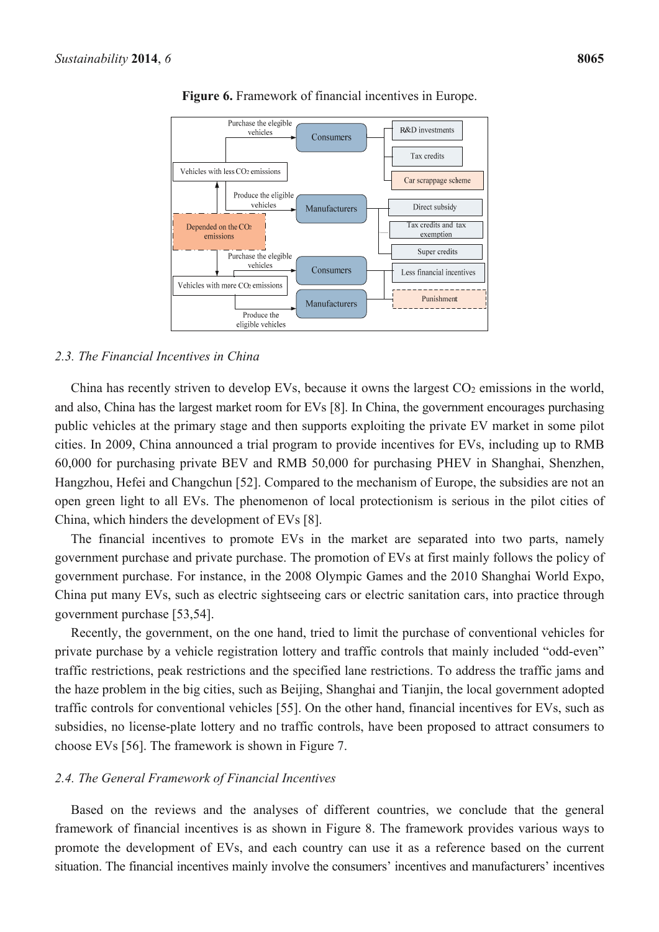

**Figure 6.** Framework of financial incentives in Europe.

#### *2.3. The Financial Incentives in China*

China has recently striven to develop EVs, because it owns the largest  $CO<sub>2</sub>$  emissions in the world, and also, China has the largest market room for EVs [8]. In China, the government encourages purchasing public vehicles at the primary stage and then supports exploiting the private EV market in some pilot cities. In 2009, China announced a trial program to provide incentives for EVs, including up to RMB 60,000 for purchasing private BEV and RMB 50,000 for purchasing PHEV in Shanghai, Shenzhen, Hangzhou, Hefei and Changchun [52]. Compared to the mechanism of Europe, the subsidies are not an open green light to all EVs. The phenomenon of local protectionism is serious in the pilot cities of China, which hinders the development of EVs [8].

The financial incentives to promote EVs in the market are separated into two parts, namely government purchase and private purchase. The promotion of EVs at first mainly follows the policy of government purchase. For instance, in the 2008 Olympic Games and the 2010 Shanghai World Expo, China put many EVs, such as electric sightseeing cars or electric sanitation cars, into practice through government purchase [53,54].

Recently, the government, on the one hand, tried to limit the purchase of conventional vehicles for private purchase by a vehicle registration lottery and traffic controls that mainly included "odd-even" traffic restrictions, peak restrictions and the specified lane restrictions. To address the traffic jams and the haze problem in the big cities, such as Beijing, Shanghai and Tianjin, the local government adopted traffic controls for conventional vehicles [55]. On the other hand, financial incentives for EVs, such as subsidies, no license-plate lottery and no traffic controls, have been proposed to attract consumers to choose EVs [56]. The framework is shown in Figure 7.

#### *2.4. The General Framework of Financial Incentives*

Based on the reviews and the analyses of different countries, we conclude that the general framework of financial incentives is as shown in Figure 8. The framework provides various ways to promote the development of EVs, and each country can use it as a reference based on the current situation. The financial incentives mainly involve the consumers' incentives and manufacturers' incentives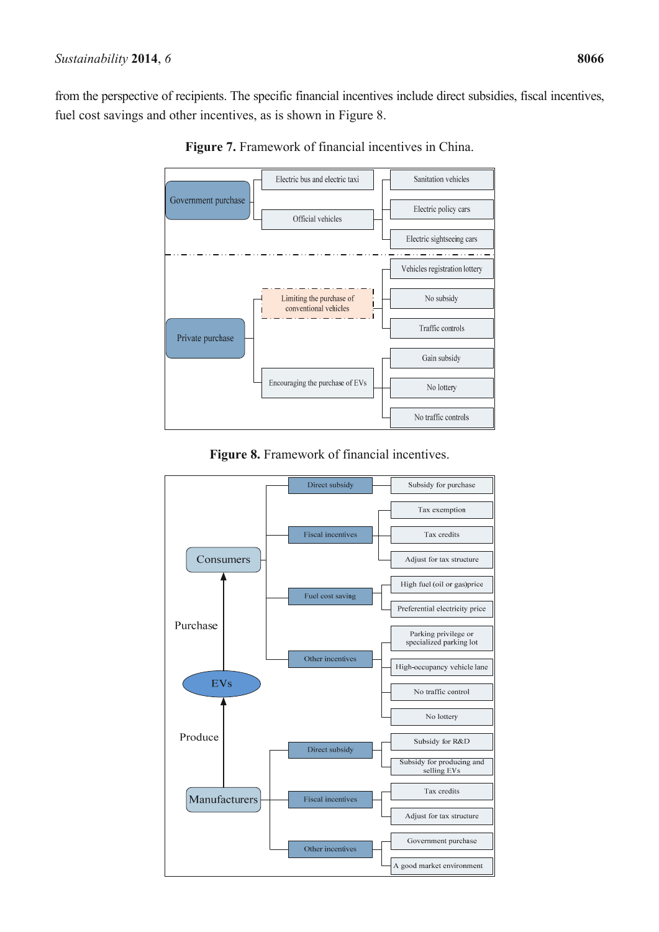from the perspective of recipients. The specific financial incentives include direct subsidies, fiscal incentives, fuel cost savings and other incentives, as is shown in Figure 8.



**Figure 7.** Framework of financial incentives in China.

**Figure 8.** Framework of financial incentives.

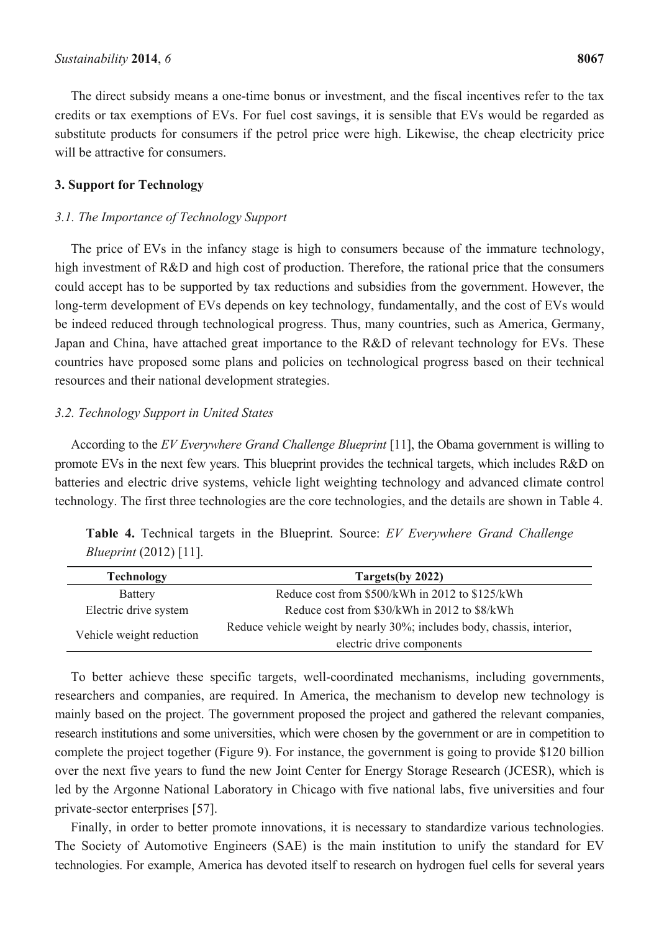The direct subsidy means a one-time bonus or investment, and the fiscal incentives refer to the tax credits or tax exemptions of EVs. For fuel cost savings, it is sensible that EVs would be regarded as substitute products for consumers if the petrol price were high. Likewise, the cheap electricity price will be attractive for consumers.

## **3. Support for Technology**

# *3.1. The Importance of Technology Support*

The price of EVs in the infancy stage is high to consumers because of the immature technology, high investment of R&D and high cost of production. Therefore, the rational price that the consumers could accept has to be supported by tax reductions and subsidies from the government. However, the long-term development of EVs depends on key technology, fundamentally, and the cost of EVs would be indeed reduced through technological progress. Thus, many countries, such as America, Germany, Japan and China, have attached great importance to the R&D of relevant technology for EVs. These countries have proposed some plans and policies on technological progress based on their technical resources and their national development strategies.

# *3.2. Technology Support in United States*

According to the *EV Everywhere Grand Challenge Blueprint* [11], the Obama government is willing to promote EVs in the next few years. This blueprint provides the technical targets, which includes R&D on batteries and electric drive systems, vehicle light weighting technology and advanced climate control technology. The first three technologies are the core technologies, and the details are shown in Table 4.

|                               |  |  | <b>Table 4.</b> Technical targets in the Blueprint. Source: EV Everywhere Grand Challenge |  |
|-------------------------------|--|--|-------------------------------------------------------------------------------------------|--|
| <i>Blueprint</i> (2012) [11]. |  |  |                                                                                           |  |

| <b>Technology</b>        | Targets(by 2022)                                                       |  |  |  |
|--------------------------|------------------------------------------------------------------------|--|--|--|
| Battery                  | Reduce cost from \$500/kWh in 2012 to \$125/kWh                        |  |  |  |
| Electric drive system    | Reduce cost from \$30/kWh in 2012 to \$8/kWh                           |  |  |  |
| Vehicle weight reduction | Reduce vehicle weight by nearly 30%; includes body, chassis, interior, |  |  |  |
|                          | electric drive components                                              |  |  |  |

To better achieve these specific targets, well-coordinated mechanisms, including governments, researchers and companies, are required. In America, the mechanism to develop new technology is mainly based on the project. The government proposed the project and gathered the relevant companies, research institutions and some universities, which were chosen by the government or are in competition to complete the project together (Figure 9). For instance, the government is going to provide \$120 billion over the next five years to fund the new Joint Center for Energy Storage Research (JCESR), which is led by the Argonne National Laboratory in Chicago with five national labs, five universities and four private-sector enterprises [57].

Finally, in order to better promote innovations, it is necessary to standardize various technologies. The Society of Automotive Engineers (SAE) is the main institution to unify the standard for EV technologies. For example, America has devoted itself to research on hydrogen fuel cells for several years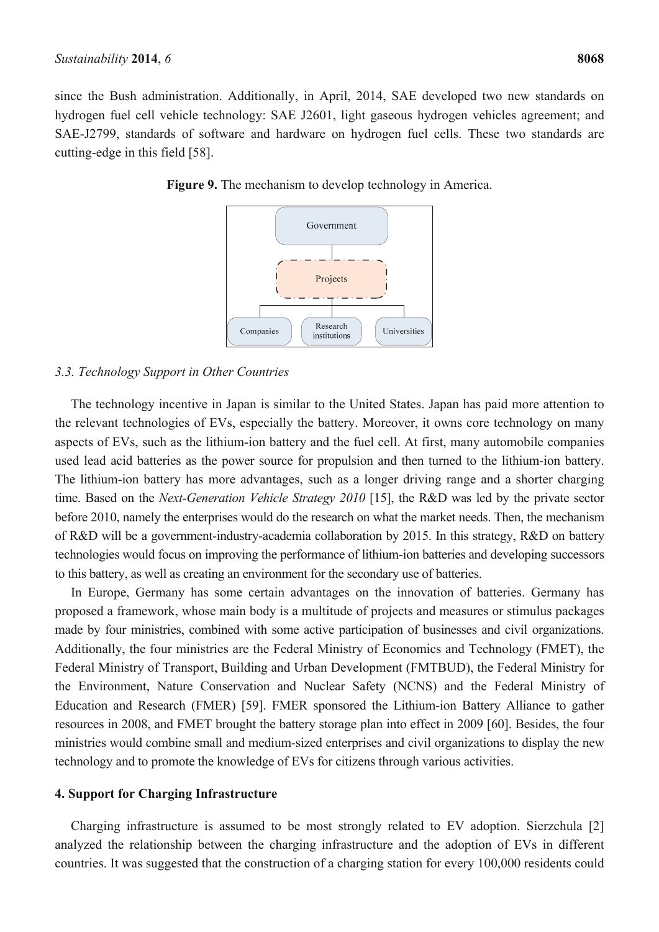since the Bush administration. Additionally, in April, 2014, SAE developed two new standards on hydrogen fuel cell vehicle technology: SAE J2601, light gaseous hydrogen vehicles agreement; and SAE-J2799, standards of software and hardware on hydrogen fuel cells. These two standards are cutting-edge in this field [58].



**Figure 9.** The mechanism to develop technology in America.

#### *3.3. Technology Support in Other Countries*

The technology incentive in Japan is similar to the United States. Japan has paid more attention to the relevant technologies of EVs, especially the battery. Moreover, it owns core technology on many aspects of EVs, such as the lithium-ion battery and the fuel cell. At first, many automobile companies used lead acid batteries as the power source for propulsion and then turned to the lithium-ion battery. The lithium-ion battery has more advantages, such as a longer driving range and a shorter charging time. Based on the *Next-Generation Vehicle Strategy 2010* [15], the R&D was led by the private sector before 2010, namely the enterprises would do the research on what the market needs. Then, the mechanism of R&D will be a government-industry-academia collaboration by 2015. In this strategy, R&D on battery technologies would focus on improving the performance of lithium-ion batteries and developing successors to this battery, as well as creating an environment for the secondary use of batteries.

In Europe, Germany has some certain advantages on the innovation of batteries. Germany has proposed a framework, whose main body is a multitude of projects and measures or stimulus packages made by four ministries, combined with some active participation of businesses and civil organizations. Additionally, the four ministries are the Federal Ministry of Economics and Technology (FMET), the Federal Ministry of Transport, Building and Urban Development (FMTBUD), the Federal Ministry for the Environment, Nature Conservation and Nuclear Safety (NCNS) and the Federal Ministry of Education and Research (FMER) [59]. FMER sponsored the Lithium-ion Battery Alliance to gather resources in 2008, and FMET brought the battery storage plan into effect in 2009 [60]. Besides, the four ministries would combine small and medium-sized enterprises and civil organizations to display the new technology and to promote the knowledge of EVs for citizens through various activities.

## **4. Support for Charging Infrastructure**

Charging infrastructure is assumed to be most strongly related to EV adoption. Sierzchula [2] analyzed the relationship between the charging infrastructure and the adoption of EVs in different countries. It was suggested that the construction of a charging station for every 100,000 residents could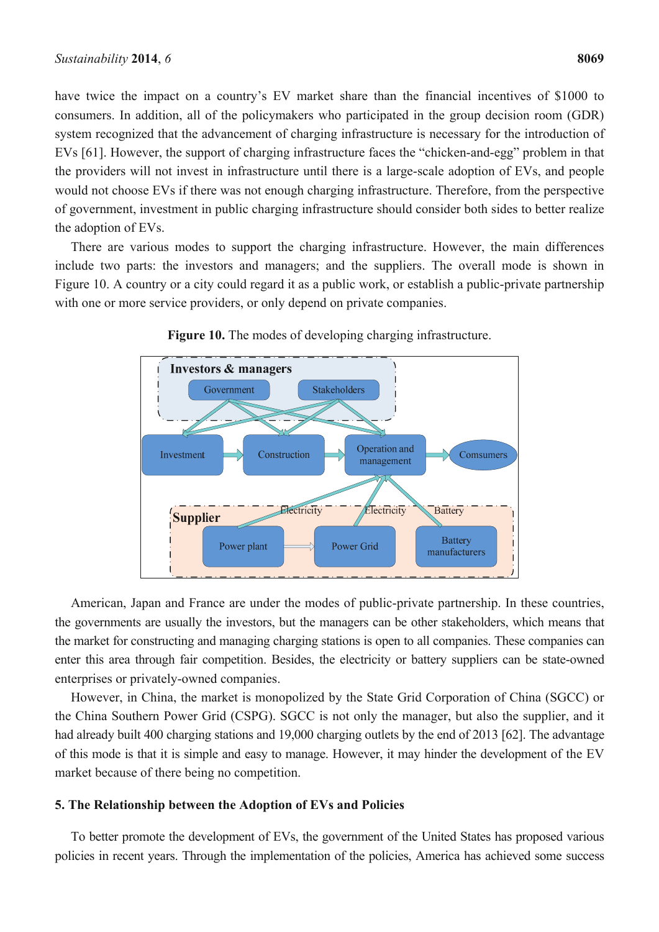have twice the impact on a country's EV market share than the financial incentives of \$1000 to consumers. In addition, all of the policymakers who participated in the group decision room (GDR) system recognized that the advancement of charging infrastructure is necessary for the introduction of EVs [61]. However, the support of charging infrastructure faces the "chicken-and-egg" problem in that the providers will not invest in infrastructure until there is a large-scale adoption of EVs, and people would not choose EVs if there was not enough charging infrastructure. Therefore, from the perspective of government, investment in public charging infrastructure should consider both sides to better realize the adoption of EVs.

There are various modes to support the charging infrastructure. However, the main differences include two parts: the investors and managers; and the suppliers. The overall mode is shown in Figure 10. A country or a city could regard it as a public work, or establish a public-private partnership with one or more service providers, or only depend on private companies.



**Figure 10.** The modes of developing charging infrastructure.

American, Japan and France are under the modes of public-private partnership. In these countries, the governments are usually the investors, but the managers can be other stakeholders, which means that the market for constructing and managing charging stations is open to all companies. These companies can enter this area through fair competition. Besides, the electricity or battery suppliers can be state-owned enterprises or privately-owned companies.

However, in China, the market is monopolized by the State Grid Corporation of China (SGCC) or the China Southern Power Grid (CSPG). SGCC is not only the manager, but also the supplier, and it had already built 400 charging stations and 19,000 charging outlets by the end of 2013 [62]. The advantage of this mode is that it is simple and easy to manage. However, it may hinder the development of the EV market because of there being no competition.

# **5. The Relationship between the Adoption of EVs and Policies**

To better promote the development of EVs, the government of the United States has proposed various policies in recent years. Through the implementation of the policies, America has achieved some success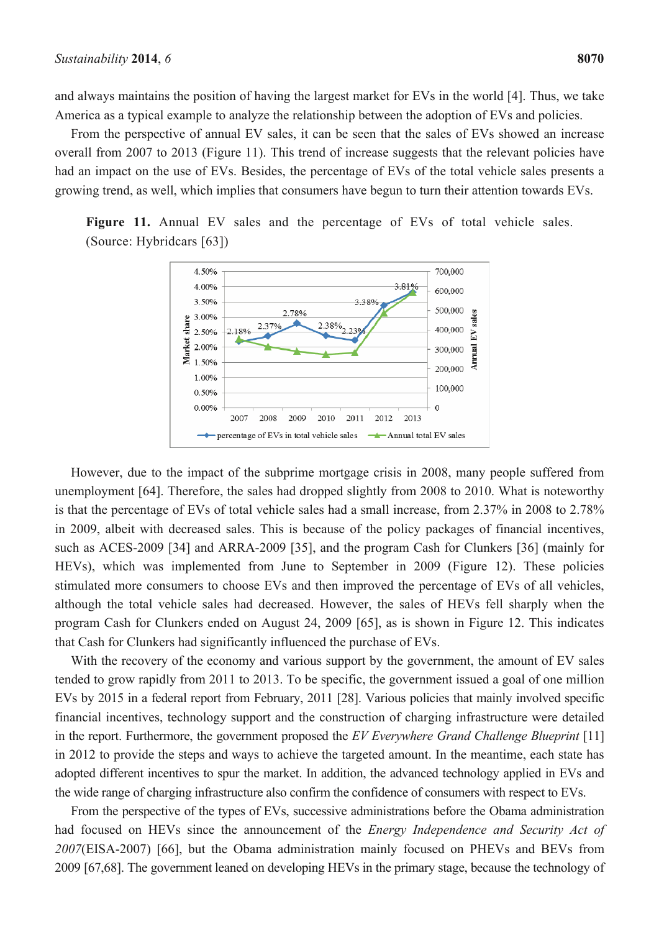and always maintains the position of having the largest market for EVs in the world [4]. Thus, we take America as a typical example to analyze the relationship between the adoption of EVs and policies.

From the perspective of annual EV sales, it can be seen that the sales of EVs showed an increase overall from 2007 to 2013 (Figure 11). This trend of increase suggests that the relevant policies have had an impact on the use of EVs. Besides, the percentage of EVs of the total vehicle sales presents a growing trend, as well, which implies that consumers have begun to turn their attention towards EVs.





However, due to the impact of the subprime mortgage crisis in 2008, many people suffered from unemployment [64]. Therefore, the sales had dropped slightly from 2008 to 2010. What is noteworthy is that the percentage of EVs of total vehicle sales had a small increase, from 2.37% in 2008 to 2.78% in 2009, albeit with decreased sales. This is because of the policy packages of financial incentives, such as ACES-2009 [34] and ARRA-2009 [35], and the program Cash for Clunkers [36] (mainly for HEVs), which was implemented from June to September in 2009 (Figure 12). These policies stimulated more consumers to choose EVs and then improved the percentage of EVs of all vehicles, although the total vehicle sales had decreased. However, the sales of HEVs fell sharply when the program Cash for Clunkers ended on August 24, 2009 [65], as is shown in Figure 12. This indicates that Cash for Clunkers had significantly influenced the purchase of EVs.

With the recovery of the economy and various support by the government, the amount of EV sales tended to grow rapidly from 2011 to 2013. To be specific, the government issued a goal of one million EVs by 2015 in a federal report from February, 2011 [28]. Various policies that mainly involved specific financial incentives, technology support and the construction of charging infrastructure were detailed in the report. Furthermore, the government proposed the *EV Everywhere Grand Challenge Blueprint* [11] in 2012 to provide the steps and ways to achieve the targeted amount. In the meantime, each state has adopted different incentives to spur the market. In addition, the advanced technology applied in EVs and the wide range of charging infrastructure also confirm the confidence of consumers with respect to EVs.

From the perspective of the types of EVs, successive administrations before the Obama administration had focused on HEVs since the announcement of the *Energy Independence and Security Act of 2007*(EISA-2007) [66], but the Obama administration mainly focused on PHEVs and BEVs from 2009 [67,68]. The government leaned on developing HEVs in the primary stage, because the technology of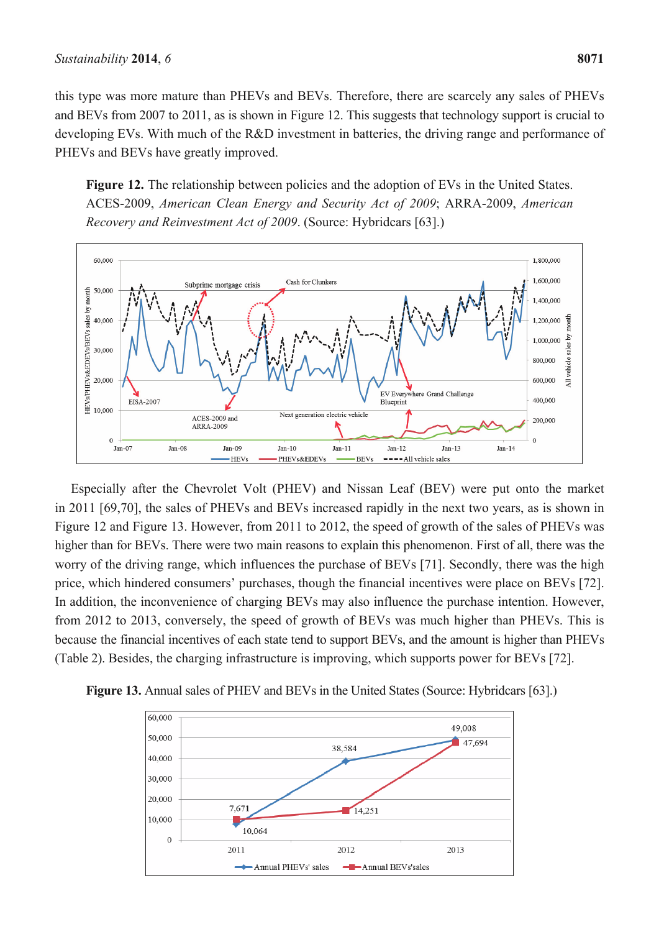this type was more mature than PHEVs and BEVs. Therefore, there are scarcely any sales of PHEVs and BEVs from 2007 to 2011, as is shown in Figure 12. This suggests that technology support is crucial to developing EVs. With much of the R&D investment in batteries, the driving range and performance of PHEVs and BEVs have greatly improved.

Figure 12. The relationship between policies and the adoption of EVs in the United States. ACES-2009, *American Clean Energy and Security Act of 2009*; ARRA-2009, *American Recovery and Reinvestment Act of 2009*. (Source: Hybridcars [63].)



Especially after the Chevrolet Volt (PHEV) and Nissan Leaf (BEV) were put onto the market in 2011 [69,70], the sales of PHEVs and BEVs increased rapidly in the next two years, as is shown in Figure 12 and Figure 13. However, from 2011 to 2012, the speed of growth of the sales of PHEVs was higher than for BEVs. There were two main reasons to explain this phenomenon. First of all, there was the worry of the driving range, which influences the purchase of BEVs [71]. Secondly, there was the high price, which hindered consumers' purchases, though the financial incentives were place on BEVs [72]. In addition, the inconvenience of charging BEVs may also influence the purchase intention. However, from 2012 to 2013, conversely, the speed of growth of BEVs was much higher than PHEVs. This is because the financial incentives of each state tend to support BEVs, and the amount is higher than PHEVs (Table 2). Besides, the charging infrastructure is improving, which supports power for BEVs [72].



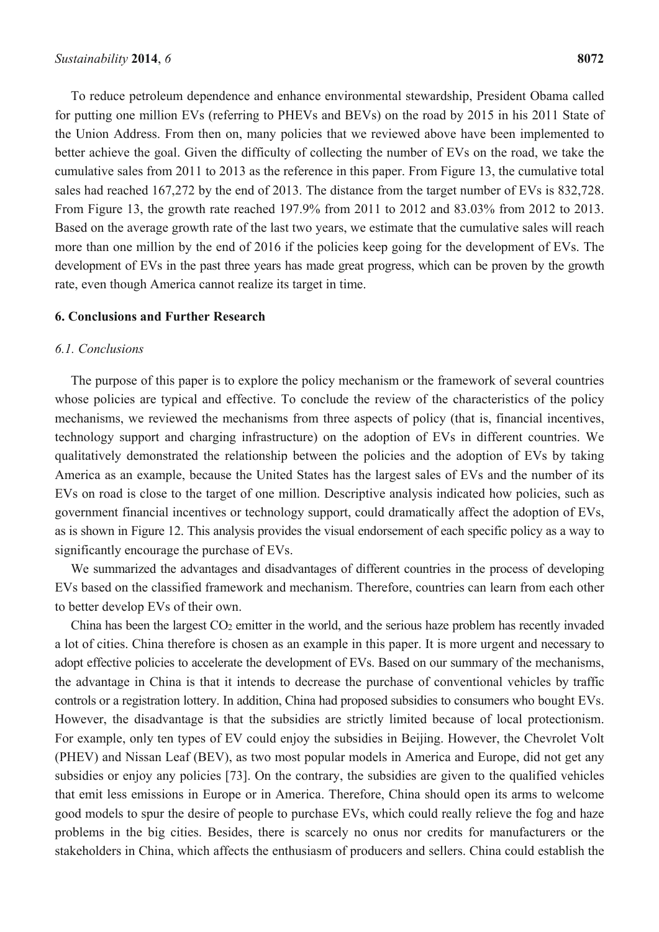To reduce petroleum dependence and enhance environmental stewardship, President Obama called for putting one million EVs (referring to PHEVs and BEVs) on the road by 2015 in his 2011 State of the Union Address. From then on, many policies that we reviewed above have been implemented to better achieve the goal. Given the difficulty of collecting the number of EVs on the road, we take the cumulative sales from 2011 to 2013 as the reference in this paper. From Figure 13, the cumulative total sales had reached 167,272 by the end of 2013. The distance from the target number of EVs is 832,728. From Figure 13, the growth rate reached 197.9% from 2011 to 2012 and 83.03% from 2012 to 2013. Based on the average growth rate of the last two years, we estimate that the cumulative sales will reach more than one million by the end of 2016 if the policies keep going for the development of EVs. The development of EVs in the past three years has made great progress, which can be proven by the growth rate, even though America cannot realize its target in time.

#### **6. Conclusions and Further Research**

## *6.1. Conclusions*

The purpose of this paper is to explore the policy mechanism or the framework of several countries whose policies are typical and effective. To conclude the review of the characteristics of the policy mechanisms, we reviewed the mechanisms from three aspects of policy (that is, financial incentives, technology support and charging infrastructure) on the adoption of EVs in different countries. We qualitatively demonstrated the relationship between the policies and the adoption of EVs by taking America as an example, because the United States has the largest sales of EVs and the number of its EVs on road is close to the target of one million. Descriptive analysis indicated how policies, such as government financial incentives or technology support, could dramatically affect the adoption of EVs, as is shown in Figure 12. This analysis provides the visual endorsement of each specific policy as a way to significantly encourage the purchase of EVs.

We summarized the advantages and disadvantages of different countries in the process of developing EVs based on the classified framework and mechanism. Therefore, countries can learn from each other to better develop EVs of their own.

China has been the largest  $CO<sub>2</sub>$  emitter in the world, and the serious haze problem has recently invaded a lot of cities. China therefore is chosen as an example in this paper. It is more urgent and necessary to adopt effective policies to accelerate the development of EVs. Based on our summary of the mechanisms, the advantage in China is that it intends to decrease the purchase of conventional vehicles by traffic controls or a registration lottery. In addition, China had proposed subsidies to consumers who bought EVs. However, the disadvantage is that the subsidies are strictly limited because of local protectionism. For example, only ten types of EV could enjoy the subsidies in Beijing. However, the Chevrolet Volt (PHEV) and Nissan Leaf (BEV), as two most popular models in America and Europe, did not get any subsidies or enjoy any policies [73]. On the contrary, the subsidies are given to the qualified vehicles that emit less emissions in Europe or in America. Therefore, China should open its arms to welcome good models to spur the desire of people to purchase EVs, which could really relieve the fog and haze problems in the big cities. Besides, there is scarcely no onus nor credits for manufacturers or the stakeholders in China, which affects the enthusiasm of producers and sellers. China could establish the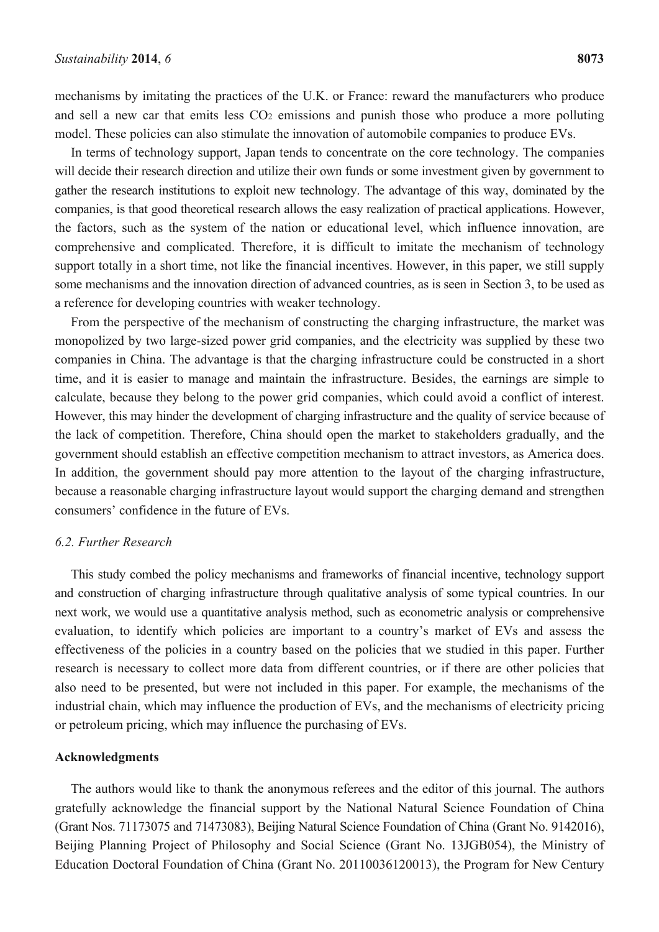mechanisms by imitating the practices of the U.K. or France: reward the manufacturers who produce and sell a new car that emits less CO<sub>2</sub> emissions and punish those who produce a more polluting model. These policies can also stimulate the innovation of automobile companies to produce EVs.

In terms of technology support, Japan tends to concentrate on the core technology. The companies will decide their research direction and utilize their own funds or some investment given by government to gather the research institutions to exploit new technology. The advantage of this way, dominated by the companies, is that good theoretical research allows the easy realization of practical applications. However, the factors, such as the system of the nation or educational level, which influence innovation, are comprehensive and complicated. Therefore, it is difficult to imitate the mechanism of technology support totally in a short time, not like the financial incentives. However, in this paper, we still supply some mechanisms and the innovation direction of advanced countries, as is seen in Section 3, to be used as a reference for developing countries with weaker technology.

From the perspective of the mechanism of constructing the charging infrastructure, the market was monopolized by two large-sized power grid companies, and the electricity was supplied by these two companies in China. The advantage is that the charging infrastructure could be constructed in a short time, and it is easier to manage and maintain the infrastructure. Besides, the earnings are simple to calculate, because they belong to the power grid companies, which could avoid a conflict of interest. However, this may hinder the development of charging infrastructure and the quality of service because of the lack of competition. Therefore, China should open the market to stakeholders gradually, and the government should establish an effective competition mechanism to attract investors, as America does. In addition, the government should pay more attention to the layout of the charging infrastructure, because a reasonable charging infrastructure layout would support the charging demand and strengthen consumers' confidence in the future of EVs.

# *6.2. Further Research*

This study combed the policy mechanisms and frameworks of financial incentive, technology support and construction of charging infrastructure through qualitative analysis of some typical countries. In our next work, we would use a quantitative analysis method, such as econometric analysis or comprehensive evaluation, to identify which policies are important to a country's market of EVs and assess the effectiveness of the policies in a country based on the policies that we studied in this paper. Further research is necessary to collect more data from different countries, or if there are other policies that also need to be presented, but were not included in this paper. For example, the mechanisms of the industrial chain, which may influence the production of EVs, and the mechanisms of electricity pricing or petroleum pricing, which may influence the purchasing of EVs.

## **Acknowledgments**

The authors would like to thank the anonymous referees and the editor of this journal. The authors gratefully acknowledge the financial support by the National Natural Science Foundation of China (Grant Nos. 71173075 and 71473083), Beijing Natural Science Foundation of China (Grant No. 9142016), Beijing Planning Project of Philosophy and Social Science (Grant No. 13JGB054), the Ministry of Education Doctoral Foundation of China (Grant No. 20110036120013), the Program for New Century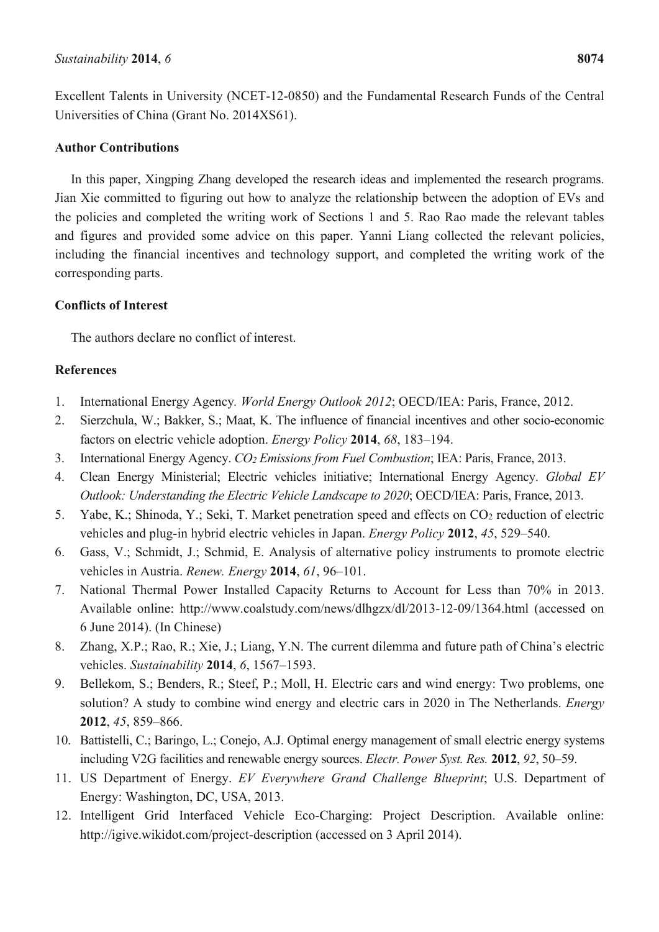Excellent Talents in University (NCET-12-0850) and the Fundamental Research Funds of the Central Universities of China (Grant No. 2014XS61).

# **Author Contributions**

In this paper, Xingping Zhang developed the research ideas and implemented the research programs. Jian Xie committed to figuring out how to analyze the relationship between the adoption of EVs and the policies and completed the writing work of Sections 1 and 5. Rao Rao made the relevant tables and figures and provided some advice on this paper. Yanni Liang collected the relevant policies, including the financial incentives and technology support, and completed the writing work of the corresponding parts.

# **Conflicts of Interest**

The authors declare no conflict of interest.

# **References**

- 1. International Energy Agency*. World Energy Outlook 2012*; OECD/IEA: Paris, France, 2012.
- 2. Sierzchula, W.; Bakker, S.; Maat, K. The influence of financial incentives and other socio-economic factors on electric vehicle adoption. *Energy Policy* **2014**, *68*, 183–194.
- 3. International Energy Agency. *CO2 Emissions from Fuel Combustion*; IEA: Paris, France, 2013.
- 4. Clean Energy Ministerial; Electric vehicles initiative; International Energy Agency. *Global EV Outlook: Understanding the Electric Vehicle Landscape to 2020*; OECD/IEA: Paris, France, 2013.
- 5. Yabe, K.; Shinoda, Y.; Seki, T. Market penetration speed and effects on CO2 reduction of electric vehicles and plug-in hybrid electric vehicles in Japan. *Energy Policy* **2012**, *45*, 529–540.
- 6. Gass, V.; Schmidt, J.; Schmid, E. Analysis of alternative policy instruments to promote electric vehicles in Austria. *Renew. Energy* **2014**, *61*, 96–101.
- 7. National Thermal Power Installed Capacity Returns to Account for Less than 70% in 2013. Available online: http://www.coalstudy.com/news/dlhgzx/dl/2013-12-09/1364.html (accessed on 6 June 2014). (In Chinese)
- 8. Zhang, X.P.; Rao, R.; Xie, J.; Liang, Y.N. The current dilemma and future path of China's electric vehicles. *Sustainability* **2014**, *6*, 1567–1593.
- 9. Bellekom, S.; Benders, R.; Steef, P.; Moll, H. Electric cars and wind energy: Two problems, one solution? A study to combine wind energy and electric cars in 2020 in The Netherlands. *Energy* **2012**, *45*, 859–866.
- 10. Battistelli, C.; Baringo, L.; Conejo, A.J. Optimal energy management of small electric energy systems including V2G facilities and renewable energy sources. *Electr. Power Syst. Res.* **2012**, *92*, 50–59.
- 11. US Department of Energy. *EV Everywhere Grand Challenge Blueprint*; U.S. Department of Energy: Washington, DC, USA, 2013.
- 12. Intelligent Grid Interfaced Vehicle Eco-Charging: Project Description. Available online: http://igive.wikidot.com/project-description (accessed on 3 April 2014).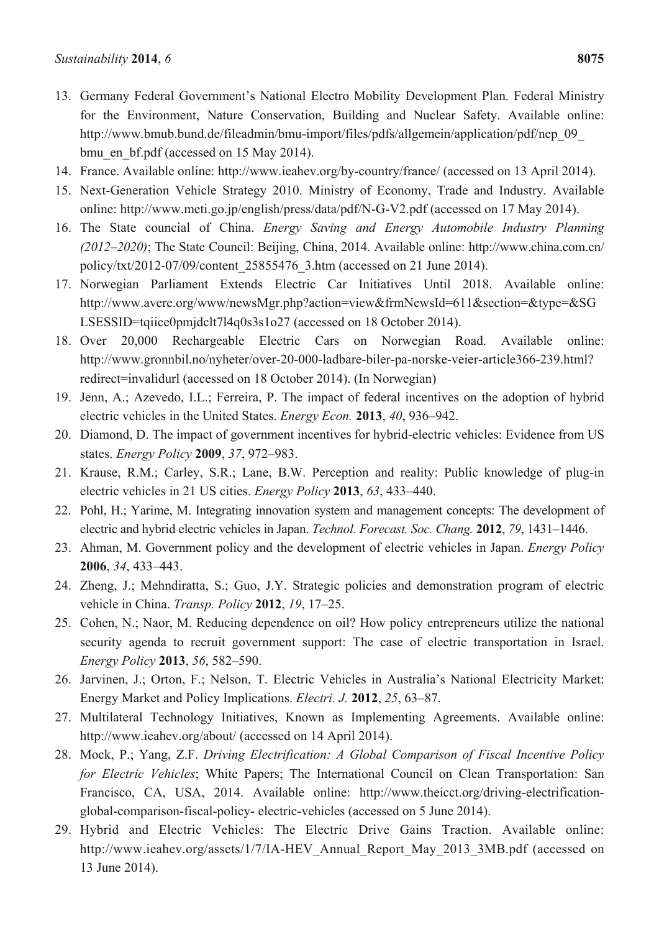- 13. Germany Federal Government's National Electro Mobility Development Plan. Federal Ministry for the Environment, Nature Conservation, Building and Nuclear Safety. Available online: http://www.bmub.bund.de/fileadmin/bmu-import/files/pdfs/allgemein/application/pdf/nep\_09\_ bmu\_en\_bf.pdf (accessed on 15 May 2014).
- 14. France. Available online: http://www.ieahev.org/by-country/france/ (accessed on 13 April 2014).
- 15. Next-Generation Vehicle Strategy 2010. Ministry of Economy, Trade and Industry. Available online: http://www.meti.go.jp/english/press/data/pdf/N-G-V2.pdf (accessed on 17 May 2014).
- 16. The State councial of China. *Energy Saving and Energy Automobile Industry Planning (2012–2020)*; The State Council: Beijing, China, 2014. Available online: http://www.china.com.cn/ policy/txt/2012-07/09/content\_25855476\_3.htm (accessed on 21 June 2014).
- 17. Norwegian Parliament Extends Electric Car Initiatives Until 2018. Available online: http://www.avere.org/www/newsMgr.php?action=view&frmNewsId=611&section=&type=&SG LSESSID=tqiice0pmjdclt7l4q0s3s1o27 (accessed on 18 October 2014).
- 18. Over 20,000 Rechargeable Electric Cars on Norwegian Road. Available online: http://www.gronnbil.no/nyheter/over-20-000-ladbare-biler-pa-norske-veier-article366-239.html? redirect=invalidurl (accessed on 18 October 2014). (In Norwegian)
- 19. Jenn, A.; Azevedo, I.L.; Ferreira, P. The impact of federal incentives on the adoption of hybrid electric vehicles in the United States. *Energy Econ.* **2013**, *40*, 936–942.
- 20. Diamond, D. The impact of government incentives for hybrid-electric vehicles: Evidence from US states. *Energy Policy* **2009**, *37*, 972–983.
- 21. Krause, R.M.; Carley, S.R.; Lane, B.W. Perception and reality: Public knowledge of plug-in electric vehicles in 21 US cities. *Energy Policy* **2013**, *63*, 433–440.
- 22. Pohl, H.; Yarime, M. Integrating innovation system and management concepts: The development of electric and hybrid electric vehicles in Japan. *Technol. Forecast. Soc. Chang.* **2012**, *79*, 1431–1446.
- 23. Ahman, M. Government policy and the development of electric vehicles in Japan. *Energy Policy* **2006**, *34*, 433–443.
- 24. Zheng, J.; Mehndiratta, S.; Guo, J.Y. Strategic policies and demonstration program of electric vehicle in China. *Transp. Policy* **2012**, *19*, 17–25.
- 25. Cohen, N.; Naor, M. Reducing dependence on oil? How policy entrepreneurs utilize the national security agenda to recruit government support: The case of electric transportation in Israel. *Energy Policy* **2013**, *56*, 582–590.
- 26. Jarvinen, J.; Orton, F.; Nelson, T. Electric Vehicles in Australia's National Electricity Market: Energy Market and Policy Implications. *Electri. J.* **2012**, *25*, 63–87.
- 27. Multilateral Technology Initiatives, Known as Implementing Agreements. Available online: http://www.ieahev.org/about/ (accessed on 14 April 2014).
- 28. Mock, P.; Yang, Z.F. *Driving Electrification: A Global Comparison of Fiscal Incentive Policy for Electric Vehicles*; White Papers; The International Council on Clean Transportation: San Francisco, CA, USA, 2014. Available online: http://www.theicct.org/driving-electrificationglobal-comparison-fiscal-policy- electric-vehicles (accessed on 5 June 2014).
- 29. Hybrid and Electric Vehicles: The Electric Drive Gains Traction. Available online: http://www.ieahev.org/assets/1/7/IA-HEV\_Annual\_Report\_May\_2013\_3MB.pdf (accessed on 13 June 2014).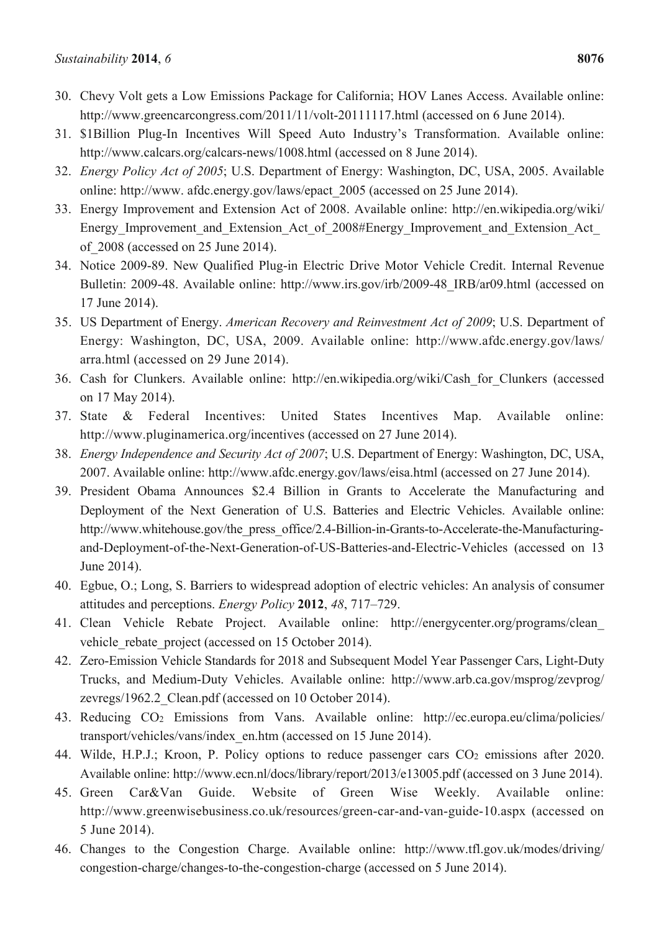- 30. Chevy Volt gets a Low Emissions Package for California; HOV Lanes Access. Available online: http://www.greencarcongress.com/2011/11/volt-20111117.html (accessed on 6 June 2014).
- 31. \$1Billion Plug-In Incentives Will Speed Auto Industry's Transformation. Available online: http://www.calcars.org/calcars-news/1008.html (accessed on 8 June 2014).
- 32. *Energy Policy Act of 2005*; U.S. Department of Energy: Washington, DC, USA, 2005. Available online: http://www. afdc.energy.gov/laws/epact\_2005 (accessed on 25 June 2014).
- 33. Energy Improvement and Extension Act of 2008. Available online: http://en.wikipedia.org/wiki/ Energy Improvement and Extension Act of 2008#Energy Improvement and Extension Act of\_2008 (accessed on 25 June 2014).
- 34. Notice 2009-89. New Qualified Plug-in Electric Drive Motor Vehicle Credit. Internal Revenue Bulletin: 2009-48. Available online: http://www.irs.gov/irb/2009-48\_IRB/ar09.html (accessed on 17 June 2014).
- 35. US Department of Energy. *American Recovery and Reinvestment Act of 2009*; U.S. Department of Energy: Washington, DC, USA, 2009. Available online: http://www.afdc.energy.gov/laws/ arra.html (accessed on 29 June 2014).
- 36. Cash for Clunkers. Available online: http://en.wikipedia.org/wiki/Cash\_for\_Clunkers (accessed on 17 May 2014).
- 37. State & Federal Incentives: United States Incentives Map. Available online: http://www.pluginamerica.org/incentives (accessed on 27 June 2014).
- 38. *Energy Independence and Security Act of 2007*; U.S. Department of Energy: Washington, DC, USA, 2007. Available online: http://www.afdc.energy.gov/laws/eisa.html (accessed on 27 June 2014).
- 39. President Obama Announces \$2.4 Billion in Grants to Accelerate the Manufacturing and Deployment of the Next Generation of U.S. Batteries and Electric Vehicles. Available online: http://www.whitehouse.gov/the\_press\_office/2.4-Billion-in-Grants-to-Accelerate-the-Manufacturingand-Deployment-of-the-Next-Generation-of-US-Batteries-and-Electric-Vehicles (accessed on 13 June 2014).
- 40. Egbue, O.; Long, S. Barriers to widespread adoption of electric vehicles: An analysis of consumer attitudes and perceptions. *Energy Policy* **2012**, *48*, 717–729.
- 41. Clean Vehicle Rebate Project. Available online: http://energycenter.org/programs/clean\_ vehicle rebate project (accessed on 15 October 2014).
- 42. Zero-Emission Vehicle Standards for 2018 and Subsequent Model Year Passenger Cars, Light-Duty Trucks, and Medium-Duty Vehicles. Available online: http://www.arb.ca.gov/msprog/zevprog/ zevregs/1962.2\_Clean.pdf (accessed on 10 October 2014).
- 43. Reducing CO2 Emissions from Vans. Available online: http://ec.europa.eu/clima/policies/ transport/vehicles/vans/index\_en.htm (accessed on 15 June 2014).
- 44. Wilde, H.P.J.; Kroon, P. Policy options to reduce passenger cars  $CO<sub>2</sub>$  emissions after 2020. Available online: http://www.ecn.nl/docs/library/report/2013/e13005.pdf (accessed on 3 June 2014).
- 45. Green Car&Van Guide. Website of Green Wise Weekly. Available online: http://www.greenwisebusiness.co.uk/resources/green-car-and-van-guide-10.aspx (accessed on 5 June 2014).
- 46. Changes to the Congestion Charge. Available online: http://www.tfl.gov.uk/modes/driving/ congestion-charge/changes-to-the-congestion-charge (accessed on 5 June 2014).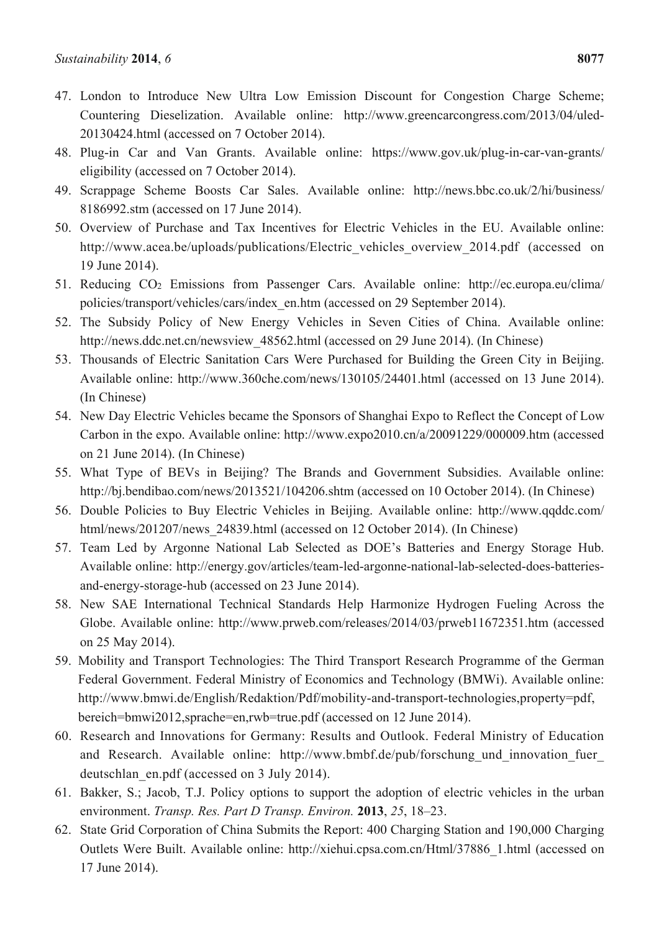- 47. London to Introduce New Ultra Low Emission Discount for Congestion Charge Scheme; Countering Dieselization. Available online: http://www.greencarcongress.com/2013/04/uled-20130424.html (accessed on 7 October 2014).
- 48. Plug-in Car and Van Grants. Available online: https://www.gov.uk/plug-in-car-van-grants/ eligibility (accessed on 7 October 2014).
- 49. Scrappage Scheme Boosts Car Sales. Available online: http://news.bbc.co.uk/2/hi/business/ 8186992.stm (accessed on 17 June 2014).
- 50. Overview of Purchase and Tax Incentives for Electric Vehicles in the EU. Available online: http://www.acea.be/uploads/publications/Electric vehicles overview 2014.pdf (accessed on 19 June 2014).
- 51. Reducing CO2 Emissions from Passenger Cars. Available online: http://ec.europa.eu/clima/ policies/transport/vehicles/cars/index\_en.htm (accessed on 29 September 2014).
- 52. The Subsidy Policy of New Energy Vehicles in Seven Cities of China. Available online: http://news.ddc.net.cn/newsview 48562.html (accessed on 29 June 2014). (In Chinese)
- 53. Thousands of Electric Sanitation Cars Were Purchased for Building the Green City in Beijing. Available online: http://www.360che.com/news/130105/24401.html (accessed on 13 June 2014). (In Chinese)
- 54. New Day Electric Vehicles became the Sponsors of Shanghai Expo to Reflect the Concept of Low Carbon in the expo. Available online: http://www.expo2010.cn/a/20091229/000009.htm (accessed on 21 June 2014). (In Chinese)
- 55. What Type of BEVs in Beijing? The Brands and Government Subsidies. Available online: http://bi.bendibao.com/news/2013521/104206.shtm (accessed on 10 October 2014). (In Chinese)
- 56. Double Policies to Buy Electric Vehicles in Beijing. Available online: http://www.qqddc.com/ html/news/201207/news 24839.html (accessed on 12 October 2014). (In Chinese)
- 57. Team Led by Argonne National Lab Selected as DOE's Batteries and Energy Storage Hub. Available online: http://energy.gov/articles/team-led-argonne-national-lab-selected-does-batteriesand-energy-storage-hub (accessed on 23 June 2014).
- 58. New SAE International Technical Standards Help Harmonize Hydrogen Fueling Across the Globe. Available online: http://www.prweb.com/releases/2014/03/prweb11672351.htm (accessed on 25 May 2014).
- 59. Mobility and Transport Technologies: The Third Transport Research Programme of the German Federal Government. Federal Ministry of Economics and Technology (BMWi). Available online: http://www.bmwi.de/English/Redaktion/Pdf/mobility-and-transport-technologies,property=pdf, bereich=bmwi2012,sprache=en,rwb=true.pdf (accessed on 12 June 2014).
- 60. Research and Innovations for Germany: Results and Outlook. Federal Ministry of Education and Research. Available online: http://www.bmbf.de/pub/forschung und innovation fuer deutschlan\_en.pdf (accessed on 3 July 2014).
- 61. Bakker, S.; Jacob, T.J. Policy options to support the adoption of electric vehicles in the urban environment. *Transp. Res. Part D Transp. Environ.* **2013**, *25*, 18–23.
- 62. State Grid Corporation of China Submits the Report: 400 Charging Station and 190,000 Charging Outlets Were Built. Available online: http://xiehui.cpsa.com.cn/Html/37886\_1.html (accessed on 17 June 2014).